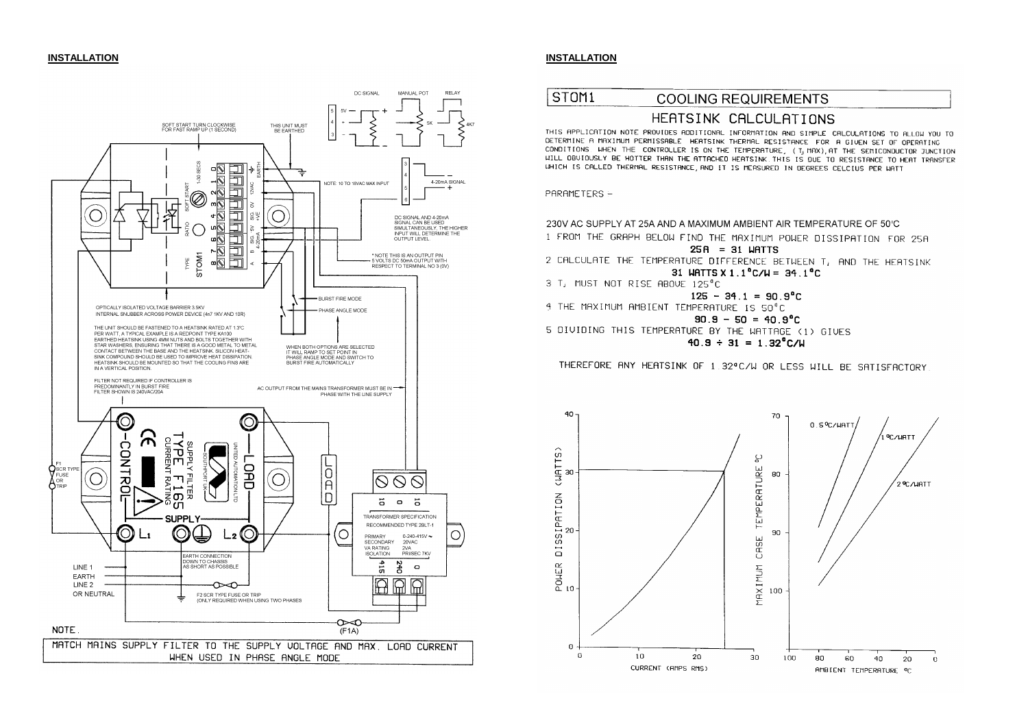

## **INSTALLATION INSTALLATION**